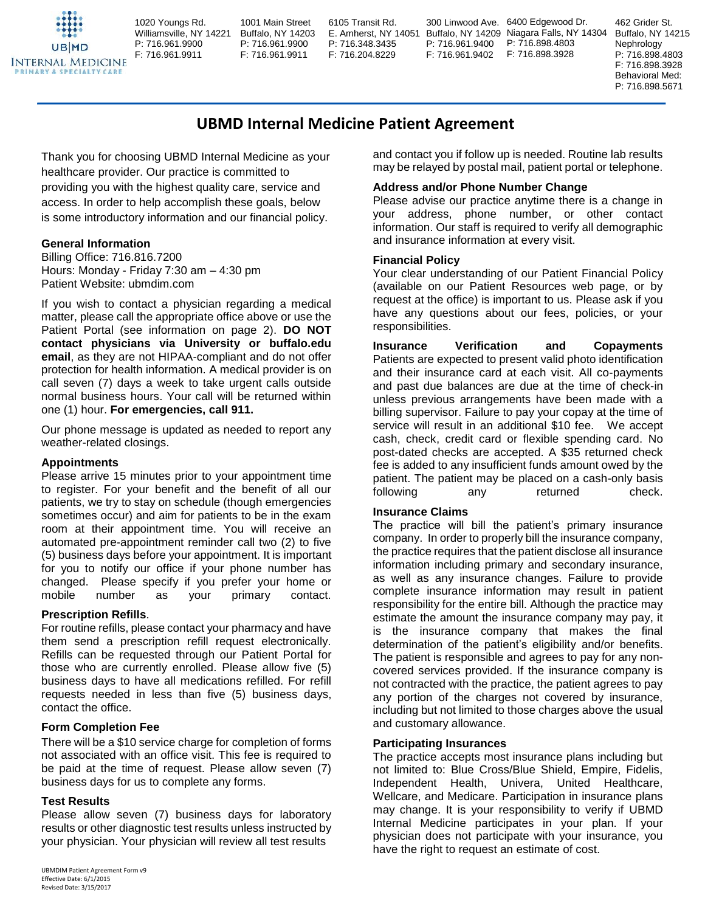1020 Youngs Rd. Williamsville, NY 14221 P: 716.961.9900 F: 716.961.9911 **INTERNAL MEDICINE** 

1001 Main Street Buffalo, NY 14203 P: 716.961.9900 F: 716.961.9911

6105 Transit Rd. P: 716.348.3435 F: 716.204.8229

E. Amherst, NY 14051 Buffalo, NY 14209 Niagara Falls, NY 14304 300 Linwood Ave. 6400 Edgewood Dr. P: 716.961.9400 F: 716.961.9402

P: 716.898.4803 F: 716.898.3928

462 Grider St. Buffalo, NY 14215 Nephrology P: 716.898.4803 F: 716.898.3928 Behavioral Med: P: 716.898.5671

# **UBMD Internal Medicine Patient Agreement**

Thank you for choosing UBMD Internal Medicine as your healthcare provider. Our practice is committed to providing you with the highest quality care, service and access. In order to help accomplish these goals, below is some introductory information and our financial policy.

## **General Information**

**PRIMARY & SPECIALTY CAR** 

Billing Office: 716.816.7200 Hours: Monday - Friday 7:30 am – 4:30 pm Patient Website: ubmdim.com

If you wish to contact a physician regarding a medical matter, please call the appropriate office above or use the Patient Portal (see information on page 2). **DO NOT contact physicians via University or buffalo.edu email**, as they are not HIPAA-compliant and do not offer protection for health information. A medical provider is on call seven (7) days a week to take urgent calls outside normal business hours. Your call will be returned within one (1) hour. **For emergencies, call 911.**

Our phone message is updated as needed to report any weather-related closings.

#### **Appointments**

Please arrive 15 minutes prior to your appointment time to register. For your benefit and the benefit of all our patients, we try to stay on schedule (though emergencies sometimes occur) and aim for patients to be in the exam room at their appointment time. You will receive an automated pre-appointment reminder call two (2) to five (5) business days before your appointment. It is important for you to notify our office if your phone number has changed. Please specify if you prefer your home or mobile number as your primary contact.

## **Prescription Refills**.

For routine refills, please contact your pharmacy and have them send a prescription refill request electronically. Refills can be requested through our Patient Portal for those who are currently enrolled. Please allow five (5) business days to have all medications refilled. For refill requests needed in less than five (5) business days, contact the office.

#### **Form Completion Fee**

There will be a \$10 service charge for completion of forms not associated with an office visit. This fee is required to be paid at the time of request. Please allow seven (7) business days for us to complete any forms.

#### **Test Results**

Please allow seven (7) business days for laboratory results or other diagnostic test results unless instructed by your physician. Your physician will review all test results

and contact you if follow up is needed. Routine lab results may be relayed by postal mail, patient portal or telephone.

## **Address and/or Phone Number Change**

Please advise our practice anytime there is a change in your address, phone number, or other contact information. Our staff is required to verify all demographic and insurance information at every visit.

#### **Financial Policy**

Your clear understanding of our Patient Financial Policy (available on our Patient Resources web page, or by request at the office) is important to us. Please ask if you have any questions about our fees, policies, or your responsibilities.

**Insurance Verification and Copayments** Patients are expected to present valid photo identification and their insurance card at each visit. All co-payments and past due balances are due at the time of check-in unless previous arrangements have been made with a billing supervisor. Failure to pay your copay at the time of service will result in an additional \$10 fee. We accept cash, check, credit card or flexible spending card. No post-dated checks are accepted. A \$35 returned check fee is added to any insufficient funds amount owed by the patient. The patient may be placed on a cash-only basis following any returned check.

## **Insurance Claims**

The practice will bill the patient's primary insurance company. In order to properly bill the insurance company, the practice requires that the patient disclose all insurance information including primary and secondary insurance, as well as any insurance changes. Failure to provide complete insurance information may result in patient responsibility for the entire bill. Although the practice may estimate the amount the insurance company may pay, it is the insurance company that makes the final determination of the patient's eligibility and/or benefits. The patient is responsible and agrees to pay for any noncovered services provided. If the insurance company is not contracted with the practice, the patient agrees to pay any portion of the charges not covered by insurance, including but not limited to those charges above the usual and customary allowance.

#### **Participating Insurances**

The practice accepts most insurance plans including but not limited to: Blue Cross/Blue Shield, Empire, Fidelis, Independent Health, Univera, United Healthcare, Wellcare, and Medicare. Participation in insurance plans may change. It is your responsibility to verify if UBMD Internal Medicine participates in your plan. If your physician does not participate with your insurance, you have the right to request an estimate of cost.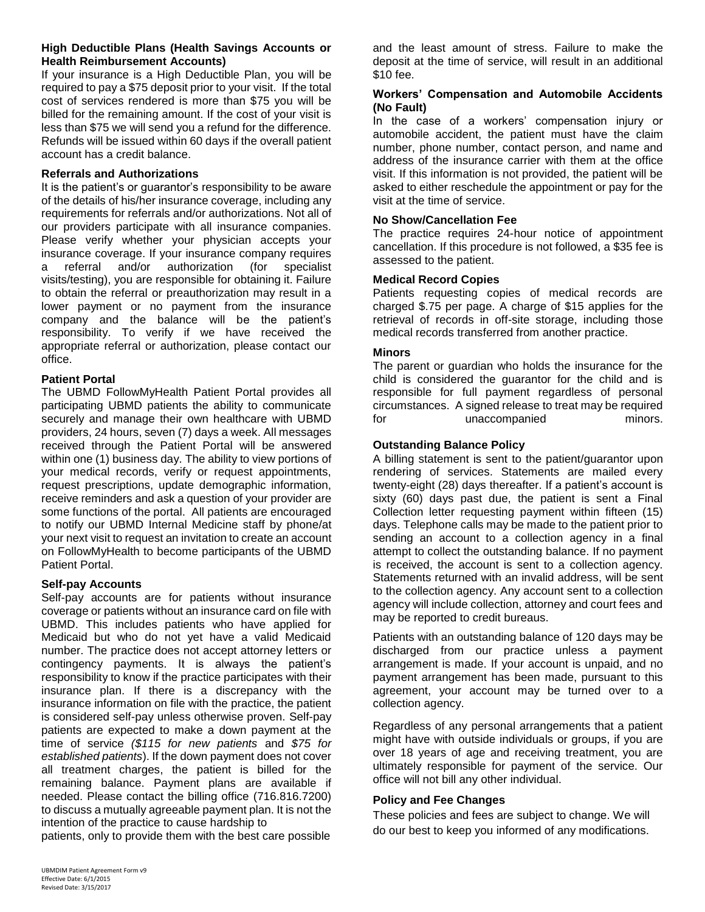## **High Deductible Plans (Health Savings Accounts or Health Reimbursement Accounts)**

If your insurance is a High Deductible Plan, you will be required to pay a \$75 deposit prior to your visit. If the total cost of services rendered is more than \$75 you will be billed for the remaining amount. If the cost of your visit is less than \$75 we will send you a refund for the difference. Refunds will be issued within 60 days if the overall patient account has a credit balance.

## **Referrals and Authorizations**

It is the patient's or guarantor's responsibility to be aware of the details of his/her insurance coverage, including any requirements for referrals and/or authorizations. Not all of our providers participate with all insurance companies. Please verify whether your physician accepts your insurance coverage. If your insurance company requires a referral and/or authorization (for specialist visits/testing), you are responsible for obtaining it. Failure to obtain the referral or preauthorization may result in a lower payment or no payment from the insurance company and the balance will be the patient's responsibility. To verify if we have received the appropriate referral or authorization, please contact our office.

## **Patient Portal**

The UBMD FollowMyHealth Patient Portal provides all participating UBMD patients the ability to communicate securely and manage their own healthcare with UBMD providers, 24 hours, seven (7) days a week. All messages received through the Patient Portal will be answered within one (1) business day. The ability to view portions of your medical records, verify or request appointments, request prescriptions, update demographic information, receive reminders and ask a question of your provider are some functions of the portal. All patients are encouraged to notify our UBMD Internal Medicine staff by phone/at your next visit to request an invitation to create an account on FollowMyHealth to become participants of the UBMD Patient Portal.

## **Self-pay Accounts**

Self-pay accounts are for patients without insurance coverage or patients without an insurance card on file with UBMD. This includes patients who have applied for Medicaid but who do not yet have a valid Medicaid number. The practice does not accept attorney letters or contingency payments. It is always the patient's responsibility to know if the practice participates with their insurance plan. If there is a discrepancy with the insurance information on file with the practice, the patient is considered self-pay unless otherwise proven. Self-pay patients are expected to make a down payment at the time of service *(\$115 for new patients* and *\$75 for established patients*). If the down payment does not cover all treatment charges, the patient is billed for the remaining balance. Payment plans are available if needed. Please contact the billing office (716.816.7200) to discuss a mutually agreeable payment plan. It is not the intention of the practice to cause hardship to

patients, only to provide them with the best care possible

and the least amount of stress. Failure to make the deposit at the time of service, will result in an additional \$10 fee.

#### **Workers' Compensation and Automobile Accidents (No Fault)**

In the case of a workers' compensation injury or automobile accident, the patient must have the claim number, phone number, contact person, and name and address of the insurance carrier with them at the office visit. If this information is not provided, the patient will be asked to either reschedule the appointment or pay for the visit at the time of service.

## **No Show/Cancellation Fee**

The practice requires 24-hour notice of appointment cancellation. If this procedure is not followed, a \$35 fee is assessed to the patient.

## **Medical Record Copies**

Patients requesting copies of medical records are charged \$.75 per page. A charge of \$15 applies for the retrieval of records in off-site storage, including those medical records transferred from another practice.

## **Minors**

The parent or guardian who holds the insurance for the child is considered the guarantor for the child and is responsible for full payment regardless of personal circumstances. A signed release to treat may be required for the unaccompanied minors.

## **Outstanding Balance Policy**

A billing statement is sent to the patient/guarantor upon rendering of services. Statements are mailed every twenty-eight (28) days thereafter. If a patient's account is sixty (60) days past due, the patient is sent a Final Collection letter requesting payment within fifteen (15) days. Telephone calls may be made to the patient prior to sending an account to a collection agency in a final attempt to collect the outstanding balance. If no payment is received, the account is sent to a collection agency. Statements returned with an invalid address, will be sent to the collection agency. Any account sent to a collection agency will include collection, attorney and court fees and may be reported to credit bureaus.

Patients with an outstanding balance of 120 days may be discharged from our practice unless a payment arrangement is made. If your account is unpaid, and no payment arrangement has been made, pursuant to this agreement, your account may be turned over to a collection agency.

Regardless of any personal arrangements that a patient might have with outside individuals or groups, if you are over 18 years of age and receiving treatment, you are ultimately responsible for payment of the service. Our office will not bill any other individual.

## **Policy and Fee Changes**

These policies and fees are subject to change. We will do our best to keep you informed of any modifications.